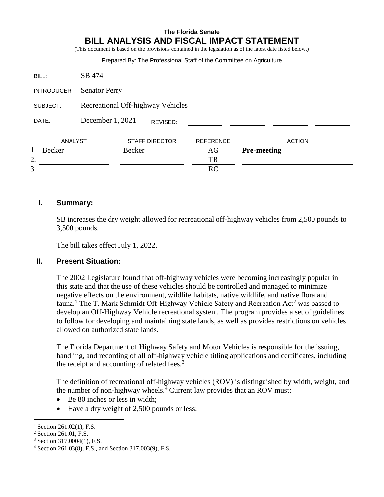# **The Florida Senate BILL ANALYSIS AND FISCAL IMPACT STATEMENT**

(This document is based on the provisions contained in the legislation as of the latest date listed below.) Prepared By: The Professional Staff of the Committee on Agriculture BILL: SB 474 INTRODUCER: Senator Perry SUBJECT: Recreational Off-highway Vehicles DATE: December 1, 2021 ANALYST STAFF DIRECTOR REFERENCE ACTION 1. Becker Becker **AG Pre-meeting** 2. TR  $3.$  RC REVISED:

#### **I. Summary:**

SB increases the dry weight allowed for recreational off-highway vehicles from 2,500 pounds to 3,500 pounds.

The bill takes effect July 1, 2022.

### **II. Present Situation:**

The 2002 Legislature found that off-highway vehicles were becoming increasingly popular in this state and that the use of these vehicles should be controlled and managed to minimize negative effects on the environment, wildlife habitats, native wildlife, and native flora and fauna.<sup>1</sup> The T. Mark Schmidt Off-Highway Vehicle Safety and Recreation Act<sup>2</sup> was passed to develop an Off-Highway Vehicle recreational system. The program provides a set of guidelines to follow for developing and maintaining state lands, as well as provides restrictions on vehicles allowed on authorized state lands.

The Florida Department of Highway Safety and Motor Vehicles is responsible for the issuing, handling, and recording of all off-highway vehicle titling applications and certificates, including the receipt and accounting of related fees.<sup>3</sup>

The definition of recreational off-highway vehicles (ROV) is distinguished by width, weight, and the number of non-highway wheels.<sup>4</sup> Current law provides that an ROV must:

- Be 80 inches or less in width:
- Have a dry weight of 2,500 pounds or less;

 $\overline{a}$ Section 261.02(1), F.S.

<sup>2</sup> Section 261.01, F.S.

<sup>3</sup> Section 317.0004(1), F.S.

<sup>4</sup> Section 261.03(8), F.S., and Section 317.003(9), F.S.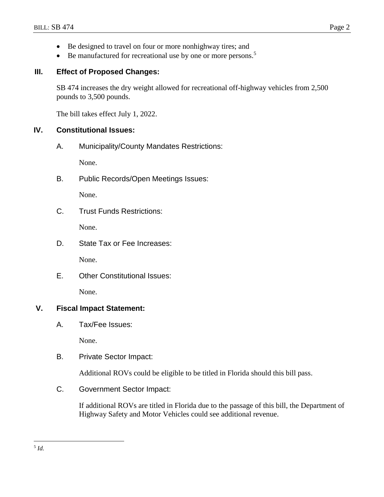- Be designed to travel on four or more nonhighway tires; and
- $\bullet$  Be manufactured for recreational use by one or more persons.<sup>5</sup>

### **III. Effect of Proposed Changes:**

SB 474 increases the dry weight allowed for recreational off-highway vehicles from 2,500 pounds to 3,500 pounds.

The bill takes effect July 1, 2022.

#### **IV. Constitutional Issues:**

A. Municipality/County Mandates Restrictions:

None.

B. Public Records/Open Meetings Issues:

None.

C. Trust Funds Restrictions:

None.

D. State Tax or Fee Increases:

None.

E. Other Constitutional Issues:

None.

## **V. Fiscal Impact Statement:**

A. Tax/Fee Issues:

None.

B. Private Sector Impact:

Additional ROVs could be eligible to be titled in Florida should this bill pass.

C. Government Sector Impact:

If additional ROVs are titled in Florida due to the passage of this bill, the Department of Highway Safety and Motor Vehicles could see additional revenue.

 $\overline{a}$ 5 *Id.*